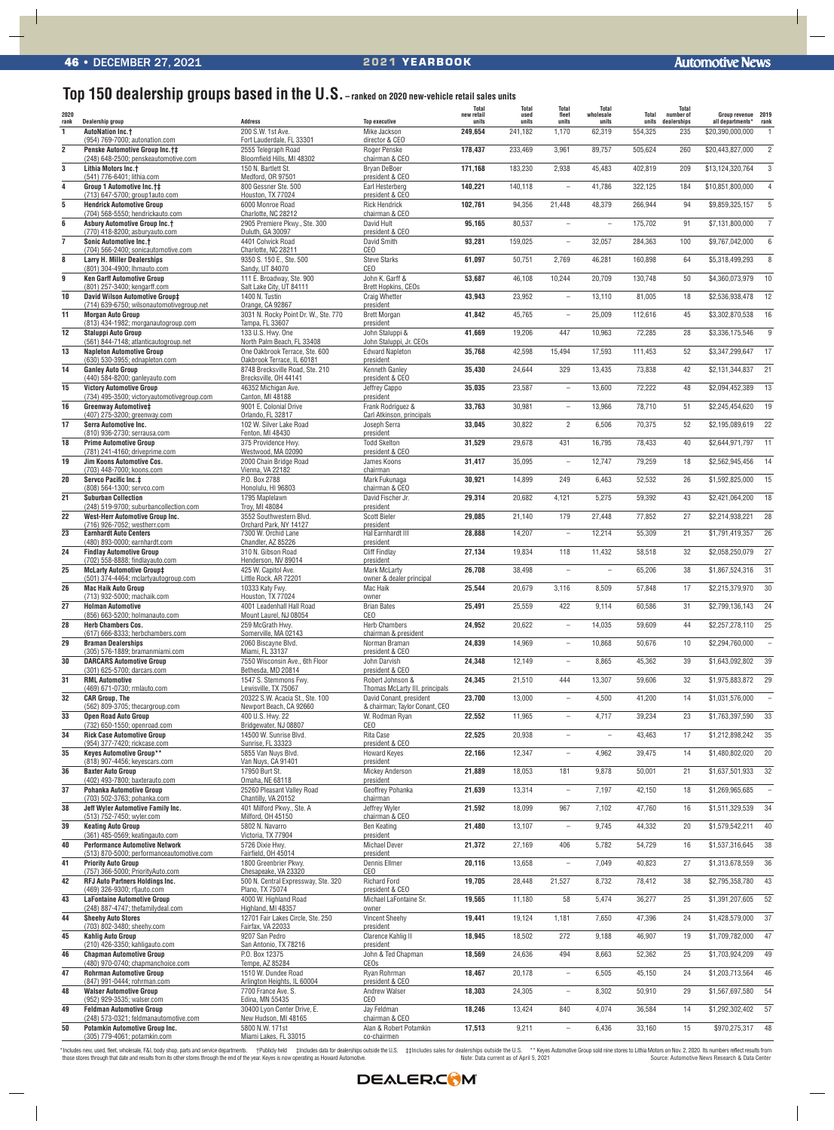## **Top 150 dealership groups based in the U.S. – ranked on 2020 new-vehicle retail sales units**

| 2020<br>rank    | Dealership group                                                                          | <b>Address</b>                                                                 | <b>Top executive</b>                                      | <b>Total</b><br>new retail<br>units | <b>Total</b><br>used<br>units | Total<br>fleet<br>units  | <b>Total</b><br>wholesale<br>units | Total<br>units | <b>Total</b><br>number of<br>dealerships | Group revenue 2019<br>all departments* | rank            |
|-----------------|-------------------------------------------------------------------------------------------|--------------------------------------------------------------------------------|-----------------------------------------------------------|-------------------------------------|-------------------------------|--------------------------|------------------------------------|----------------|------------------------------------------|----------------------------------------|-----------------|
| $\mathbf{1}$    | <b>AutoNation Inc.+</b>                                                                   | 200 S.W. 1st Ave.                                                              | Mike Jackson                                              | 249,654                             | 241,182                       | 1,170                    | 62,319                             | 554,325        | 235                                      | \$20,390,000,000                       |                 |
| $\overline{2}$  | (954) 769-7000; autonation.com<br><b>Penske Automotive Group Inc.t#</b>                   | Fort Lauderdale, FL 33301<br>2555 Telegraph Road<br>Bloomfield Hills, MI 48302 | director & CEO<br>Roger Penske<br>chairman & CEO          | 178,437                             | 233,469                       | 3,961                    | 89,757                             | 505,624        | 260                                      | \$20,443,827,000                       | $\overline{2}$  |
| $\mathbf 3$     | (248) 648-2500; penskeautomotive.com<br>Lithia Motors Inc.+<br>(541) 776-6401; lithia.com | 150 N. Bartlett St.<br>Medford, OR 97501                                       | <b>Bryan DeBoer</b><br>president & CEO                    | 171,168                             | 183,230                       | 2,938                    | 45,483                             | 402,819        | 209                                      | \$13,124,320,764                       | 3               |
| 4               | Group 1 Automotive Inc.†‡                                                                 | 800 Gessner Ste. 500                                                           | Earl Hesterberg                                           | 140,221                             | 140,118                       | $\overline{\phantom{0}}$ | 41,786                             | 322,125        | 184                                      | \$10,851,800,000                       | $\overline{4}$  |
| 5               | (713) 647-5700; group1auto.com<br><b>Hendrick Automotive Group</b>                        | Houston, TX 77024<br>6000 Monroe Road                                          | president & CEO<br><b>Rick Hendrick</b>                   | 102,761                             | 94,356                        | 21,448                   | 48,379                             | 266,944        | 94                                       | \$9,859,325,157                        | 5               |
| 6               | (704) 568-5550; hendrickauto.com<br><b>Asbury Automotive Group Inc.†</b>                  | Charlotte, NC 28212<br>2905 Premiere Pkwy., Ste. 300                           | chairman & CEO<br>David Hult                              | 95,165                              | 80,537                        | L.                       | $\overline{\phantom{a}}$           | 175,702        | 91                                       | \$7,131,800,000                        | $\overline{7}$  |
| $\overline{7}$  | (770) 418-8200; asburyauto.com<br><b>Sonic Automotive Inc.†</b>                           | Duluth, GA 30097<br>4401 Colwick Road                                          | president & CEO<br>David Smith                            | 93,281                              | 159,025                       | ۰                        | 32,057                             | 284,363        | 100                                      | \$9,767,042,000                        | $6\phantom{1}$  |
| 8               | (704) 566-2400; sonicautomotive.com<br><b>Larry H. Miller Dealerships</b>                 | Charlotte, NC 28211<br>9350 S. 150 E., Ste. 500                                | <b>CEO</b><br><b>Steve Starks</b>                         | 61,097                              | 50,751                        | 2,769                    | 46,281                             | 160,898        | 64                                       | \$5,318,499,293                        | 8               |
| 9               | (801) 304-4900; lhmauto.com<br><b>Ken Garff Automotive Group</b>                          | Sandy, UT 84070<br>111 E. Broadway, Ste. 900                                   | CEO<br>John K. Garff &                                    | 53,687                              | 46,108                        | 10,244                   | 20,709                             | 130,748        | 50                                       | \$4,360,073,979                        | 10              |
| 10              | (801) 257-3400; kengarff.com<br>David Wilson Automotive Group‡                            | Salt Lake City, UT 84111<br>1400 N. Tustin                                     | Brett Hopkins, CEOs<br><b>Craig Whetter</b>               | 43,943                              | 23,952                        | ÷                        | 13,110                             | 81,005         | 18                                       | \$2,536,938,478                        | 12              |
| 11              | (714) 639-6750; wilsonautomotivegroup.net<br><b>Morgan Auto Group</b>                     | Orange, CA 92867<br>3031 N. Rocky Point Dr. W., Ste. 770                       | president<br><b>Brett Morgan</b>                          | 41,842                              | 45,765                        | $\overline{\phantom{a}}$ | 25,009                             | 112,616        | 45                                       | \$3,302,870,538                        | 16              |
| 12              | (813) 434-1982; morganautogroup.com<br><b>Staluppi Auto Group</b>                         | Tampa, FL 33607<br>133 U.S. Hwy. One                                           | president<br>John Staluppi &                              | 41,669                              | 19,206                        | 447                      | 10,963                             | 72,285         | 28                                       | \$3.336.175.546                        | 9               |
|                 | (561) 844-7148; atlanticautogroup.net                                                     | North Palm Beach, FL 33408                                                     | John Staluppi, Jr. CEOs                                   |                                     |                               |                          |                                    |                |                                          |                                        |                 |
| 13              | <b>Napleton Automotive Group</b><br>(630) 530-3955; ednapleton.com                        | One Oakbrook Terrace, Ste. 600<br>Oakbrook Terrace, IL 60181                   | <b>Edward Napleton</b><br>president                       | 35,768                              | 42,598                        | 15,494                   | 17,593                             | 111,453        | 52                                       | \$3,347,299,647                        | 17              |
| 14              | <b>Ganley Auto Group</b><br>(440) 584-8200; ganleyauto.com                                | 8748 Brecksville Road, Ste. 210<br>Brecksville, OH 44141                       | Kenneth Ganlev<br>president & CEO                         | 35,430                              | 24,644                        | 329                      | 13,435                             | 73,838         | 42                                       | \$2,131,344,837                        | 21              |
| 15              | <b>Victory Automotive Group</b><br>(734) 495-3500; victoryautomotivegroup.com             | 46352 Michigan Ave.<br>Canton, MI 48188                                        | Jeffrey Cappo<br>president                                | 35,035                              | 23,587                        | $\overline{\phantom{a}}$ | 13,600                             | 72,222         | 48                                       | \$2,094,452,389                        | 13              |
| 16              | <b>Greenway Automotive‡</b><br>(407) 275-3200; greenway.com                               | 9001 E. Colonial Drive<br>Orlando, FL 32817                                    | Frank Rodriguez &<br>Carl Atkinson, principals            | 33,763                              | 30,981                        | ÷                        | 13,966                             | 78,710         | 51                                       | \$2,245,454,620                        | 19              |
| 17              | Serra Automotive Inc.                                                                     | 102 W. Silver Lake Road                                                        | Joseph Serra                                              | 33,045                              | 30,822                        | $\overline{2}$           | 6,506                              | 70,375         | 52                                       | \$2,195,089,619                        | 22              |
| 18              | (810) 936-2730; serrausa.com<br><b>Prime Automotive Group</b>                             | Fenton, MI 48430<br>375 Providence Hwy.                                        | president<br><b>Todd Skelton</b>                          | 31,529                              | 29,678                        | 431                      | 16,795                             | 78,433         | 40                                       | \$2,644,971,797                        | 11              |
| 19              | (781) 241-4160; driveprime.com<br>Jim Koons Automotive Cos.                               | Westwood, MA 02090<br>2000 Chain Bridge Road                                   | president & CEO<br>James Koons                            | 31,417                              | 35,095                        | $\overline{\phantom{a}}$ | 12,747                             | 79,259         | 18                                       | \$2,562,945,456                        | 14              |
| 20              | (703) 448-7000; koons.com<br><b>Servco Pacific Inc.‡</b>                                  | Vienna, VA 22182<br>P.O. Box 2788                                              | chairman<br>Mark Fukunaga                                 | 30,921                              | 14,899                        | 249                      | 6,463                              | 52,532         | 26                                       | \$1,592,825,000                        | 15              |
| 21              | (808) 564-1300; servco.com<br><b>Suburban Collection</b>                                  | Honolulu, HI 96803<br>1795 Maplelawn                                           | chairman & CEO<br>David Fischer Jr.                       | 29,314                              | 20,682                        | 4,121                    | 5,275                              | 59,392         | 43                                       | \$2,421,064,200                        | 18              |
|                 | (248) 519-9700; suburbancollection.com                                                    | Troy, MI 48084                                                                 | president                                                 |                                     |                               |                          |                                    |                |                                          |                                        |                 |
| 22              | West-Herr Automotive Group Inc.<br>(716) 926-7052; westherr.com                           | 3552 Southwestern Blvd.<br>Orchard Park, NY 14127                              | <b>Scott Bieler</b><br>president                          | 29,085                              | 21,140                        | 179                      | 27,448                             | 77,852         | 27                                       | \$2,214,938,221                        | 28              |
| $\overline{23}$ | <b>Earnhardt Auto Centers</b><br>(480) 893-0000; earnhardt.com                            | 7300 W. Orchid Lane<br>Chandler, AZ 85226                                      | Hal Earnhardt III<br>president                            | 28,888                              | 14,207                        | $\overline{\phantom{a}}$ | 12,214                             | 55,309         | 21                                       | \$1,791,419,357                        | $\overline{26}$ |
| 24              | <b>Findlay Automotive Group</b><br>(702) 558-8888; findlayauto.com                        | 310 N. Gibson Road<br>Henderson, NV 89014                                      | <b>Cliff Findlay</b><br>president                         | 27,134                              | 19,834                        | 118                      | 11.432                             | 58,518         | 32                                       | \$2.058.250.079                        | 27              |
| 25              | <b>McLarty Automotive Group‡</b><br>(501) 374-4464; mclartyautogroup.com                  | 425 W. Capitol Ave.<br>Little Rock. AR 72201                                   | <b>Mark McLarty</b><br>owner & dealer principal           | 26,708                              | 38,498                        | $\overline{a}$           |                                    | 65,206         | 38                                       | \$1,867,524,316                        | 31              |
| 26              | <b>Mac Haik Auto Group</b><br>(713) 932-5000; machaik.com                                 | 10333 Katy Fwy.<br>Houston, TX 77024                                           | Mac Haik<br>owner                                         | 25,544                              | 20,679                        | 3,116                    | 8,509                              | 57,848         | 17                                       | \$2,215,379,970                        | 30              |
| 27              | <b>Holman Automotive</b>                                                                  | 4001 Leadenhall Hall Road                                                      | <b>Brian Bates</b>                                        | 25,491                              | 25,559                        | 422                      | 9.114                              | 60.586         | 31                                       | \$2,799,136,143                        | 24              |
| 28              | (856) 663-5200; holmanauto.com<br><b>Herb Chambers Cos.</b>                               | Mount Laurel, NJ 08054<br>259 McGrath Hwy.                                     | CEO<br><b>Herb Chambers</b>                               | 24,952                              | 20,622                        | $\overline{\phantom{0}}$ | 14,035                             | 59,609         | 44                                       | \$2,257,278,110                        | 25              |
| 29              | (617) 666-8333; herbchambers.com<br><b>Braman Dealerships</b>                             | Somerville, MA 02143<br>2060 Biscayne Blvd.                                    | chairman & president<br>Norman Braman                     | 24,839                              | 14,969                        | ÷                        | 10,868                             | 50,676         | 10                                       | \$2,294,760,000                        |                 |
| 30              | (305) 576-1889; bramanmiami.com<br><b>DARCARS Automotive Group</b>                        | Miami, FL 33137<br>7550 Wisconsin Ave., 6th Floor                              | president & CEO<br>John Darvish                           | 24,348                              | 12,149                        | ÷                        | 8,865                              | 45,362         | 39                                       | \$1,643,092,802                        | 39              |
| 31              | (301) 625-5700; darcars.com<br><b>RML Automotive</b>                                      | Bethesda, MD 20814<br>1547 S. Stemmons Fwy.                                    | president & CEO<br>Robert Johnson &                       | 24,345                              | 21,510                        | 444                      | 13,307                             | 59,606         | 32                                       | \$1,975,883,872                        | 29              |
|                 | (469) 671-0730; rmlauto.com                                                               | Lewisville, TX 75067                                                           | Thomas McLarty III, principals                            |                                     |                               |                          |                                    |                |                                          |                                        |                 |
| 32              | <b>CAR Group, The</b><br>(562) 809-3705; thecargroup.com                                  | 20322 S.W. Acacia St., Ste. 100<br>Newport Beach, CA 92660                     | David Conant, president<br>& chairman; Taylor Conant, CEO | 23,700                              | 13,000                        | $\overline{\phantom{a}}$ | 4,500                              | 41,200         | 14                                       | \$1,031,576,000                        |                 |
| 33              | <b>Open Road Auto Group</b><br>(732) 650-1550; openroad.com                               | 400 U.S. Hwy. 22<br>Bridgewater, NJ 08807                                      | W. Rodman Ryan<br>CEO                                     | 22,552                              | 11,965                        | ÷                        | 4,717                              | 39,234         | 23                                       | \$1,763,397,590                        | 33              |
| 34              | <b>Rick Case Automotive Group</b><br>(954) 377-7420; rickcase.com                         | 14500 W. Sunrise Blvd.<br>Sunrise, FL 33323                                    | Rita Case<br>president & CEO                              | 22,525                              | 20,938                        | $\overline{a}$           | $\overline{\phantom{a}}$           | 43,463         | 17                                       | \$1,212,898,242                        | 35              |
| 35              | <b>Keyes Automotive Group**</b><br>(818) 907-4456; keyescars.com                          | 5855 Van Nuys Blvd.<br>Van Nuys, CA 91401                                      | <b>Howard Keyes</b><br>president                          | 22,166                              | 12,347                        | $\overline{\phantom{0}}$ | 4,962                              | 39,475         | 14                                       | \$1,480,802,020                        | 20              |
| 36              | <b>Baxter Auto Group</b>                                                                  | 17950 Burt St.                                                                 | <b>Mickey Anderson</b>                                    | 21,889                              | 18,053                        | 181                      | 9,878                              | 50,001         | 21                                       | \$1,637,501,933                        | 32              |
| 37              | (402) 493-7800; baxterauto.com<br><b>Pohanka Automotive Group</b>                         | Omaha, NE 68118<br>25260 Pleasant Valley Road                                  | president<br>Geoffrey Pohanka                             | 21,639                              | 13,314                        | $\overline{\phantom{a}}$ | 7,197                              | 42,150         | 18                                       | \$1,269,965,685                        |                 |
| 38              | (703) 502-3763; pohanka.com<br>Jeff Wyler Automotive Family Inc.                          | Chantilly, VA 20152<br>401 Milford Pkwy., Ste. A                               | chairman<br>Jeffrey Wyler                                 | 21,592                              | 18,099                        | 967                      | 7,102                              | 47,760         | 16                                       | \$1,511,329,539                        | 34              |
| 39              | (513) 752-7450; wyler.com<br><b>Keating Auto Group</b>                                    | Milford, OH 45150<br>5802 N. Navarro                                           | chairman & CEO<br>Ben Keating                             | 21,480                              | 13,107                        | $\overline{\phantom{a}}$ | 9,745                              | 44,332         | 20                                       | \$1,579,542,211                        | 40              |
| 40              | (361) 485-0569; keatingauto.com<br><b>Performance Automotive Network</b>                  | Victoria, TX 77904<br>5726 Dixie Hwy.                                          | president<br><b>Michael Dever</b>                         | 21,372                              | 27,169                        | 406                      | 5,782                              | 54,729         | 16                                       | \$1,537,316,645                        | 38              |
|                 | (513) 870-5000; performanceautomotive.com                                                 | Fairfield, OH 45014                                                            | president                                                 |                                     |                               |                          |                                    |                |                                          |                                        |                 |
| 41              | <b>Priority Auto Group</b><br>(757) 366-5000; PriorityAuto.com                            | 1800 Greenbrier Pkwy.<br>Chesapeake, VA 23320                                  | <b>Dennis Ellmer</b><br>CEO                               | 20,116                              | 13,658                        | $\overline{\phantom{a}}$ | 7.049                              | 40,823         | 27                                       | \$1,313,678,559                        | 36              |
| 42              | <b>RFJ Auto Partners Holdings Inc.</b><br>(469) 326-9300; rfjauto.com                     | 500 N. Central Expressway, Ste. 320<br>Plano, TX 75074                         | <b>Richard Ford</b><br>president & CEO                    | 19,705                              | 28,448                        | 21,527                   | 8,732                              | 78,412         | 38                                       | \$2,795,358,780                        | 43              |
| 43              | <b>LaFontaine Automotive Group</b><br>(248) 887-4747; thefamilydeal.com                   | 4000 W. Highland Road<br>Highland, MI 48357                                    | Michael LaFontaine Sr.<br>owner                           | 19,565                              | 11,180                        | 58                       | 5,474                              | 36,277         | 25                                       | \$1,391,207,605                        | 52              |
| 44              | <b>Sheehy Auto Stores</b><br>(703) 802-3480; sheehy.com                                   | 12701 Fair Lakes Circle, Ste. 250<br>Fairfax, VA 22033                         | <b>Vincent Sheehy</b><br>president                        | 19,441                              | 19,124                        | 1,181                    | 7,650                              | 47,396         | 24                                       | \$1,428,579,000                        | 37              |
| 45              | <b>Kahlig Auto Group</b>                                                                  | 9207 San Pedro                                                                 | Clarence Kahlig II                                        | 18,945                              | 18,502                        | 272                      | 9,188                              | 46,907         | 19                                       | \$1,709,782,000                        | 47              |
| 46              | (210) 426-3350; kahligauto.com<br><b>Chapman Automotive Group</b>                         | San Antonio, TX 78216<br>P.O. Box 12375                                        | president<br>John & Ted Chapman                           | 18,569                              | 24,636                        | 494                      | 8,663                              | 52,362         | 25                                       | \$1,703,924,209                        | 49              |
| 47              | (480) 970-0740; chapmanchoice.com<br><b>Rohrman Automotive Group</b>                      | Tempe, AZ 85284<br>1510 W. Dundee Road                                         | CEOs<br>Rvan Rohrman                                      | 18,467                              | 20,178                        | $\overline{\phantom{a}}$ | 6,505                              | 45,150         | 24                                       | \$1,203,713,564                        | 46              |
| 48              | (847) 991-0444; rohrman.com<br><b>Walser Automotive Group</b>                             | Arlington Heights, IL 60004<br>7700 France Ave. S.                             | president & CEO<br><b>Andrew Walser</b>                   | 18,303                              | 24,305                        | ۰                        | 8,302                              | 50,910         | 29                                       | \$1,567,697,580                        | 54              |
|                 | (952) 929-3535; walser.com                                                                | Edina, MN 55435                                                                | CEO                                                       |                                     |                               |                          |                                    |                |                                          |                                        |                 |
| 49              | <b>Feldman Automotive Group</b><br>(248) 573-0321; feldmanautomotive.com                  | 30400 Lyon Center Drive, E.<br>New Hudson, MI 48165                            | Jay Feldman<br>chairman & CEO                             | 18,246                              | 13,424                        | 840                      | 4,074                              | 36,584         | 14                                       | \$1,292,302,402                        | 57              |
| 50              | <b>Potamkin Automotive Group Inc.</b><br>(305) 779-4061; potamkin.com                     | 5800 N.W. 171st<br>Miami Lakes, FL 33015                                       | Alan & Robert Potamkin<br>co-chairmen                     | 17,513                              | 9,211                         |                          | 6,436                              | 33,160         | 15                                       | \$970,275,317                          | 48              |

"Includes new, used, fleet, wholesale, F&I, body shop, parts and service departments. \* †Publicly held #Includes data for dealerships outside the U.S. #Includes sales for dealerships outside the U.S. \*\* Keyes Automotive Gr

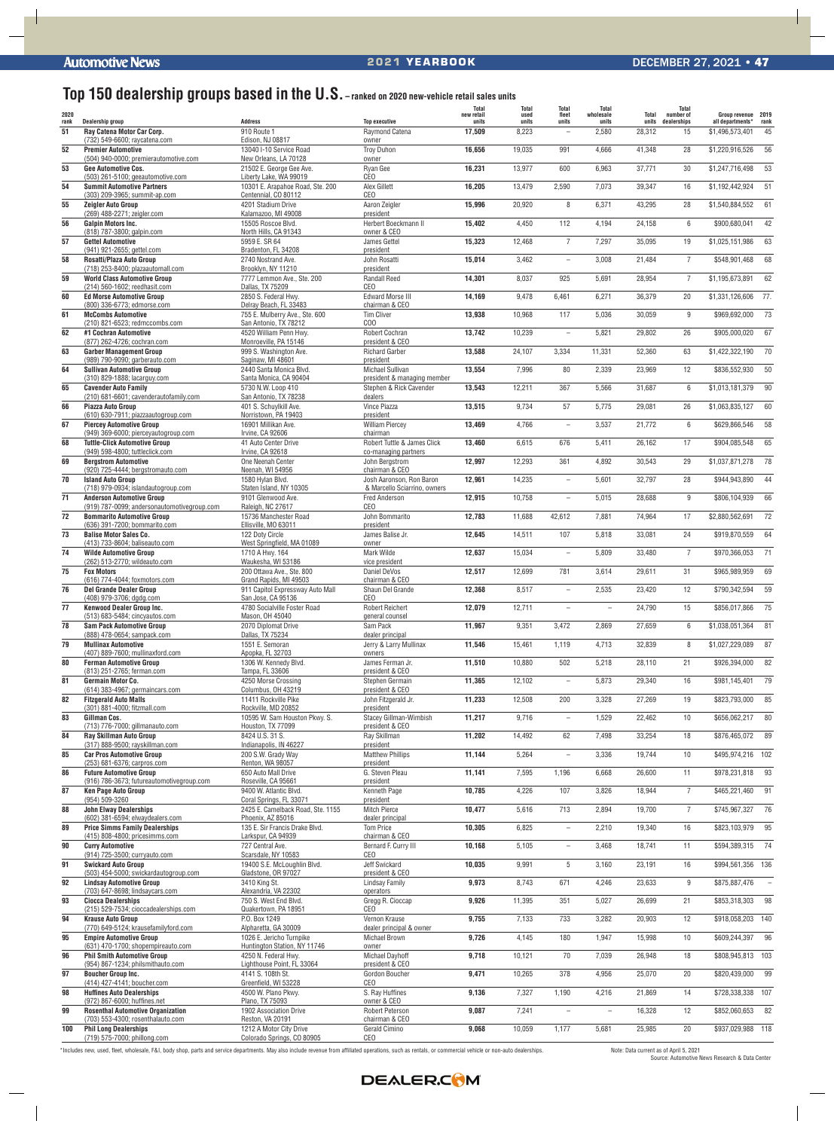## **Top 150 dealership groups based in the U.S. – ranked on 2020 new-vehicle retail sales units**

| 2020       |                                                                                  |                                                              |                                                          | <b>Total</b><br>new retail | <b>Total</b><br>used | <b>Total</b><br>fleet    | Total<br>wholesale       | Total           | <b>Total</b><br>number of | Group revenue 2019                  |            |
|------------|----------------------------------------------------------------------------------|--------------------------------------------------------------|----------------------------------------------------------|----------------------------|----------------------|--------------------------|--------------------------|-----------------|---------------------------|-------------------------------------|------------|
| rank<br>51 | Dealership group<br>Ray Catena Motor Car Corp.                                   | <b>Address</b><br>910 Route 1                                | <b>Top executive</b><br>Raymond Catena                   | units<br>17,509            | units<br>8,223       | units<br>$\overline{a}$  | units<br>2,580           | units<br>28,312 | dealerships<br>15         | all departments*<br>\$1,496,573,401 | rank<br>45 |
|            | (732) 549-6600; raycatena.com                                                    | Edison, NJ 08817                                             | owner                                                    |                            |                      |                          |                          |                 |                           |                                     |            |
| 52         | <b>Premier Automotive</b>                                                        | 13040 I-10 Service Road                                      | <b>Troy Duhon</b>                                        | 16,656                     | 19,035               | 991                      | 4,666                    | 41,348          | 28                        | \$1,220,916,526                     | 56         |
| 53         | (504) 940-0000; premierautomotive.com<br><b>Gee Automotive Cos.</b>              | New Orleans, LA 70128<br>21502 E. George Gee Ave.            | owner<br>Rvan Gee                                        | 16,231                     | 13,977               | 600                      | 6,963                    | 37,771          | 30                        | \$1,247,716,498                     | 53         |
|            | (503) 261-5100; geeautomotive.com                                                | Liberty Lake, WA 99019                                       | CEO                                                      |                            |                      |                          |                          |                 |                           |                                     |            |
| 54         | <b>Summit Automotive Partners</b><br>(303) 209-3965; summit-ap.com               | 10301 E. Arapahoe Road, Ste. 200<br>Centennial, CO 80112     | Alex Gillett<br>CEO                                      | 16,205                     | 13,479               | 2,590                    | 7,073                    | 39,347          | 16                        | \$1,192,442,924                     | 51         |
| 55         | <b>Zeigler Auto Group</b>                                                        | 4201 Stadium Drive                                           | Aaron Zeigler                                            | 15,996                     | 20,920               | 8                        | 6,371                    | 43,295          | 28                        | \$1,540,884,552                     | 61         |
|            | (269) 488-2271; zeigler.com                                                      | Kalamazoo, MI 49008                                          | president                                                |                            |                      |                          |                          |                 |                           |                                     |            |
| 56         | <b>Galpin Motors Inc.</b><br>(818) 787-3800; galpin.com                          | 15505 Roscoe Blvd.<br>North Hills, CA 91343                  | Herbert Boeckmann II<br>owner & CEO                      | 15,402                     | 4,450                | 112                      | 4,194                    | 24,158          | $6\overline{6}$           | \$900.680.041                       | 42         |
| 57         | <b>Gettel Automotive</b>                                                         | 5959 E. SR 64                                                | James Gettel                                             | 15,323                     | 12,468               | $\overline{7}$           | 7,297                    | 35,095          | 19                        | \$1,025,151,986                     | 63         |
| 58         | (941) 921-2655; gettel.com<br>Rosatti/Plaza Auto Group                           | Bradenton, FL 34208<br>2740 Nostrand Ave.                    | president<br>John Rosatti                                | 15,014                     | 3,462                | $\overline{\phantom{m}}$ | 3,008                    | 21,484          | $\overline{7}$            | \$548,901,468                       | 68         |
|            | (718) 253-8400; plazaautomall.com                                                | Brooklyn, NY 11210                                           | president                                                |                            |                      |                          |                          |                 |                           |                                     |            |
| 59         | <b>World Class Automotive Group</b>                                              | 7777 Lemmon Ave., Ste. 200                                   | <b>Randall Reed</b>                                      | 14,301                     | 8,037                | 925                      | 5,691                    | 28,954          | $\overline{7}$            | \$1,195,673,891                     | 62         |
| 60         | (214) 560-1602; reedhasit.com<br><b>Ed Morse Automotive Group</b>                | Dallas, TX 75209<br>2850 S. Federal Hwy.                     | CEO<br><b>Edward Morse III</b>                           | 14,169                     | 9,478                | 6,461                    | 6,271                    | 36,379          | 20                        | \$1,331,126,606                     | 77.        |
|            | (800) 336-6773; edmorse.com                                                      | Delray Beach, FL 33483                                       | chairman & CEO                                           |                            |                      |                          |                          |                 |                           |                                     |            |
| 61         | <b>McCombs Automotive</b><br>(210) 821-6523; redmccombs.com                      | 755 E. Mulberry Ave., Ste. 600<br>San Antonio, TX 78212      | <b>Tim Cliver</b><br>000                                 | 13,938                     | 10,968               | 117                      | 5,036                    | 30,059          | 9                         | \$969,692,000                       | 73         |
| 62         | #1 Cochran Automotive                                                            | 4520 William Penn Hwy.                                       | Robert Cochran                                           | 13,742                     | 10,239               | $\overline{\phantom{0}}$ | 5,821                    | 29,802          | 26                        | \$905,000,020                       | 67         |
|            | (877) 262-4726; cochran.com                                                      | Monroeville, PA 15146                                        | president & CEO                                          |                            |                      |                          |                          |                 |                           |                                     |            |
| 63         | <b>Garber Management Group</b><br>(989) 790-9090; garberauto.com                 | 999 S. Washington Ave.<br>Saginaw, MI 48601                  | <b>Richard Garber</b><br>president                       | 13,588                     | 24,107               | 3,334                    | 11,331                   | 52,360          | 63                        | \$1,422,322,190                     | 70         |
| 64         | <b>Sullivan Automotive Group</b>                                                 | 2440 Santa Monica Blvd.                                      | Michael Sullivan                                         | 13,554                     | 7,996                | 80                       | 2,339                    | 23,969          | 12                        | \$836,552,930                       | 50         |
|            | (310) 829-1888; lacarguy.com                                                     | Santa Monica, CA 90404                                       | president & managing member                              |                            |                      |                          |                          |                 |                           |                                     | 90         |
| 65         | <b>Cavender Auto Family</b><br>(210) 681-6601; cavenderautofamily.com            | 5730 N.W. Loop 410<br>San Antonio, TX 78238                  | Stephen & Rick Cavender<br>dealers                       | 13,543                     | 12,211               | 367                      | 5,566                    | 31,687          | 6                         | \$1,013,181,379                     |            |
| 66         | Piazza Auto Group                                                                | 401 S. Schuylkill Ave.                                       | Vince Piazza                                             | 13,515                     | 9,734                | 57                       | 5,775                    | 29,081          | 26                        | \$1,063,835,127                     | 60         |
| 67         | (610) 630-7911; piazzaautogroup.com<br><b>Piercey Automotive Group</b>           | Norristown, PA 19403<br>16901 Millikan Ave.                  | president<br><b>William Piercey</b>                      | 13,469                     | 4,766                | $\overline{\phantom{m}}$ | 3,537                    | 21,772          | 6                         | \$629,866,546                       | 58         |
|            | (949) 369-6000; pierceyautogroup.com                                             | Irvine, CA 92606                                             | chairman                                                 |                            |                      |                          |                          |                 |                           |                                     |            |
| 68         | <b>Tuttle-Click Automotive Group</b><br>(949) 598-4800; tuttleclick.com          | 41 Auto Center Drive<br>Irvine, CA 92618                     | Robert Tuttle & James Click                              | 13,460                     | 6,615                | 676                      | 5,411                    | 26,162          | 17                        | \$904,085,548                       | 65         |
| 69         | <b>Bergstrom Automotive</b>                                                      | One Neenah Center                                            | co-managing partners<br>John Bergstrom                   | 12,997                     | 12,293               | 361                      | 4,892                    | 30,543          | 29                        | \$1,037,871,278                     | 78         |
|            | (920) 725-4444; bergstromauto.com                                                | Neenah, WI 54956                                             | chairman & CEO                                           |                            |                      |                          |                          |                 |                           |                                     |            |
| 70         | <b>Island Auto Group</b><br>(718) 979-0934; islandautogroup.com                  | 1580 Hylan Blvd.<br>Staten Island, NY 10305                  | Josh Aaronson, Ron Baron<br>& Marcello Sciarrino, owners | 12,961                     | 14,235               | $\overline{\phantom{0}}$ | 5,601                    | 32,797          | 28                        | \$944,943,890                       | 44         |
| 71         | <b>Anderson Automotive Group</b>                                                 | 9101 Glenwood Ave.                                           | <b>Fred Anderson</b>                                     | 12,915                     | 10,758               | $\overline{\phantom{0}}$ | 5,015                    | 28,688          | 9                         | \$806,104,939                       | 66         |
| 72         | (919) 787-0099; andersonautomotivegroup.com<br><b>Bommarito Automotive Group</b> | Raleigh, NC 27617<br>15736 Manchester Road                   | CEO<br>John Bommarito                                    | 12,783                     | 11,688               | 42,612                   | 7.881                    | 74,964          | 17                        | \$2.880.562.691                     | 72         |
|            | (636) 391-7200; bommarito.com                                                    | Ellisville, MO 63011                                         | president                                                |                            |                      |                          |                          |                 |                           |                                     |            |
| 73         | <b>Balise Motor Sales Co.</b>                                                    | 122 Doty Circle                                              | James Balise Jr.                                         | 12,645                     | 14,511               | 107                      | 5,818                    | 33,081          | 24                        | \$919,870,559                       | 64         |
| 74         | (413) 733-8604; baliseauto.com<br><b>Wilde Automotive Group</b>                  | West Springfield, MA 01089<br>1710 A Hwy. 164                | owner<br>Mark Wilde                                      | 12,637                     | 15,034               | $\overline{\phantom{a}}$ | 5,809                    | 33.480          | $\overline{7}$            | \$970,366,053                       | 71         |
|            | (262) 513-2770; wildeauto.com                                                    | Waukesha. WI 53186                                           | vice president                                           |                            |                      |                          |                          |                 |                           |                                     |            |
| 75         | <b>Fox Motors</b><br>(616) 774-4044; foxmotors.com                               | 200 Ottawa Ave., Ste. 800<br>Grand Rapids, MI 49503          | Daniel DeVos<br>chairman & CEO                           | 12,517                     | 12,699               | 781                      | 3,614                    | 29,611          | 31                        | \$965,989,959                       | 69         |
| 76         | <b>Del Grande Dealer Group</b>                                                   | 911 Capitol Expressway Auto Mall                             | Shaun Del Grande                                         | 12,368                     | 8,517                | $-$                      | 2,535                    | 23,420          | 12                        | \$790,342,594                       | 59         |
|            | (408) 979-3706; dgdg.com                                                         | San Jose, CA 95136                                           | CEO                                                      |                            |                      |                          |                          |                 |                           |                                     |            |
| 77         | <b>Kenwood Dealer Group Inc.</b><br>(513) 683-5484; cincyautos.com               | 4780 Socialville Foster Road<br>Mason, OH 45040              | <b>Robert Reichert</b><br>general counsel                | 12,079                     | 12,711               | ÷                        | $\overline{\phantom{a}}$ | 24,790          | 15                        | \$856,017,866                       | 75         |
| 78         | <b>Sam Pack Automotive Group</b>                                                 | 2070 Diplomat Drive                                          | Sam Pack                                                 | 11,967                     | 9,351                | 3,472                    | 2,869                    | 27,659          | 6                         | \$1,038,051,364                     | 81         |
| 79         | (888) 478-0654; sampack.com<br><b>Mullinax Automotive</b>                        | Dallas, TX 75234<br>1551 E. Semoran                          | dealer principal<br>Jerry & Larry Mullinax               | 11,546                     | 15,461               | 1,119                    | 4,713                    | 32,839          | 8                         | \$1,027,229,089                     | 87         |
|            | (407) 889-7600; mullinaxford.com                                                 | Apopka, FL 32703                                             | owners                                                   |                            |                      |                          |                          |                 |                           |                                     |            |
| 80         | <b>Ferman Automotive Group</b>                                                   | 1306 W. Kennedy Blvd.                                        | James Ferman Jr.                                         | 11,510                     | 10,880               | 502                      | 5,218                    | 28,110          | 21                        | \$926,394,000                       | 82         |
| 81         | (813) 251-2765; ferman.com<br>Germain Motor Co.                                  | Tampa, FL 33606<br>4250 Morse Crossing                       | president & CEO<br>Stephen Germain                       | 11,365                     | 12,102               | $\overline{\phantom{a}}$ | 5,873                    | 29,340          | 16                        | \$981,145,401                       | 79         |
|            | (614) 383-4967; germaincars.com                                                  | Columbus, OH 43219                                           | president & CEO                                          |                            |                      |                          |                          |                 |                           |                                     |            |
| 82         | <b>Fitzgerald Auto Malls</b><br>(301) 881-4000; fitzmall.com                     | 11411 Rockville Pike<br>Rockville, MD 20852                  | John Fitzgerald Jr.<br>president                         | 11,233                     | 12,508               | 200                      | 3,328                    | 27,269          | 19                        | \$823,793,000                       | 85         |
| 83         | Gillman Cos.                                                                     | 10595 W. Sam Houston Pkwy. S.                                | Stacey Gillman-Wimbish                                   | 11,217                     | 9,716                | $\overline{\phantom{a}}$ | 1,529                    | 22,462          | 10                        | \$656,062,217                       | 80         |
|            | (713) 776-7000; gillmanauto.com                                                  | Houston, TX 77099                                            | president & CEO                                          |                            |                      |                          |                          |                 |                           |                                     |            |
| 84         | <b>Ray Skillman Auto Group</b><br>(317) 888-9500; rayskillman.com                | 8424 U.S. 31 S.<br>Indianapolis, IN 46227                    | Ray Skillman<br>president                                | 11,202                     | 14,492               | 62                       | 7,498                    | 33,254          | 18                        | \$876,465,072 89                    |            |
| 85         | <b>Car Pros Automotive Group</b>                                                 | 200 S.W. Grady Way                                           | <b>Matthew Phillips</b>                                  | 11,144                     | 5,264                | $\overline{\phantom{a}}$ | 3,336                    | 19,744          | 10                        | \$495,974,216 102                   |            |
|            | (253) 681-6376; carpros.com                                                      | Renton, WA 98057                                             | president<br>G. Steven Pleau                             |                            |                      |                          |                          |                 |                           |                                     | 93         |
| 86         | <b>Future Automotive Group</b><br>(916) 786-3673; futureautomotivegroup.com      | 650 Auto Mall Drive<br>Roseville, CA 95661                   | president                                                | 11,141                     | 7,595                | 1,196                    | 6,668                    | 26,600          | 11                        | \$978,231,818                       |            |
| 87         | <b>Ken Page Auto Group</b>                                                       | 9400 W. Atlantic Blvd.                                       | Kenneth Page                                             | 10,785                     | 4,226                | 107                      | 3,826                    | 18,944          | $\overline{7}$            | \$465,221,460                       | 91         |
| 88         | (954) 509-3260<br><b>John Elway Dealerships</b>                                  | Coral Springs, FL 33071<br>2425 E. Camelback Road, Ste. 1155 | president<br><b>Mitch Pierce</b>                         | 10,477                     | 5,616                | 713                      | 2.894                    | 19,700          | $\overline{7}$            | \$745,967,327                       | 76         |
|            | (602) 381-6594; elwaydealers.com                                                 | Phoenix, AZ 85016                                            | dealer principal                                         |                            |                      |                          |                          |                 |                           |                                     |            |
| 89         | <b>Price Simms Family Dealerships</b><br>(415) 808-4800; pricesimms.com          | 135 E. Sir Francis Drake Blvd.<br>Larkspur, CA 94939         | <b>Tom Price</b><br>chairman & CEO                       | 10,305                     | 6,825                | $-$                      | 2,210                    | 19,340          | 16                        | \$823,103,979                       | 95         |
| 90         | <b>Curry Automotive</b>                                                          | 727 Central Ave.                                             | Bernard F. Curry III                                     | 10,168                     | 5,105                | $-$                      | 3,468                    | 18,741          | 11                        | \$594,389,315 74                    |            |
|            | (914) 725-3500; curryauto.com                                                    | Scarsdale, NY 10583                                          | <b>CEO</b>                                               |                            |                      |                          |                          |                 |                           |                                     |            |
| 91         | <b>Swickard Auto Group</b><br>(503) 454-5000; swickardautogroup.com              | 19400 S.E. McLoughlin Blvd.<br>Gladstone, OR 97027           | Jeff Swickard<br>president & CEO                         | 10,035                     | 9,991                | 5                        | 3,160                    | 23,191          | 16                        | \$994,561,356 136                   |            |
| 92         | <b>Lindsay Automotive Group</b>                                                  | 3410 King St.                                                | <b>Lindsay Family</b>                                    | 9,973                      | 8,743                | 671                      | 4,246                    | 23,633          | 9                         | \$875,887,476                       |            |
|            | (703) 647-8698; lindsaycars.com                                                  | Alexandria, VA 22302                                         | operators                                                |                            |                      |                          |                          |                 |                           |                                     |            |
| 93         | <b>Ciocca Dealerships</b><br>(215) 529-7534; cioccadealerships.com               | 750 S. West End Blvd.<br>Quakertown, PA 18951                | Gregg R. Cioccap<br>CEO                                  | 9,926                      | 11,395               | 351                      | 5,027                    | 26,699          | 21                        | \$853,318,303                       | 98         |
| 94         | <b>Krause Auto Group</b>                                                         | P.O. Box 1249                                                | Vernon Krause                                            | 9,755                      | 7,133                | 733                      | 3,282                    | 20,903          | 12                        | \$918,058,203 140                   |            |
| 95         | (770) 649-5124; krausefamilyford.com<br><b>Empire Automotive Group</b>           | Alpharetta, GA 30009<br>1026 E. Jericho Turnpike             | dealer principal & owner<br>Michael Brown                | 9,726                      | 4,145                | 180                      | 1,947                    | 15,998          | 10                        | \$609,244,397                       | 96         |
|            | (631) 470-1700; shopempireauto.com                                               | Huntington Station, NY 11746                                 | owner                                                    |                            |                      |                          |                          |                 |                           |                                     |            |
| 96         | <b>Phil Smith Automotive Group</b><br>(954) 867-1234; philsmithauto.com          | 4250 N. Federal Hwy.<br>Lighthouse Point, FL 33064           | Michael Dayhoff<br>president & CEO                       | 9,718                      | 10,121               | 70                       | 7,039                    | 26,948          | 18                        | \$808,945,813 103                   |            |
| 97         | <b>Boucher Group Inc.</b>                                                        | 4141 S. 108th St.                                            | Gordon Boucher                                           | 9,471                      | 10,265               | 378                      | 4,956                    | 25,070          | 20                        | \$820,439,000                       | 99         |
|            | (414) 427-4141; boucher.com                                                      | Greenfield, WI 53228                                         | CEO                                                      |                            |                      |                          |                          |                 |                           |                                     |            |
| 98         | <b>Huffines Auto Dealerships</b><br>(972) 867-6000; huffines.net                 | 4500 W. Plano Pkwy.<br>Plano, TX 75093                       | S. Ray Huffines<br>owner & CEO                           | 9,136                      | 7,327                | 1,190                    | 4,216                    | 21,869          | 14                        | \$728,338,338 107                   |            |
| 99         | <b>Rosenthal Automotive Organization</b>                                         | 1902 Association Drive                                       | Robert Peterson                                          | 9,087                      | 7,241                |                          |                          | 16,328          | 12                        | \$852,060,653                       | 82         |
|            | (703) 553-4300; rosenthalauto.com                                                | Reston, VA 20191                                             | chairman & CEO                                           |                            |                      |                          |                          |                 |                           |                                     |            |
| 100        | <b>Phil Long Dealerships</b><br>(719) 575-7000; phillong.com                     | 1212 A Motor City Drive<br>Colorado Springs, CO 80905        | Gerald Cimino<br>CEO                                     | 9,068                      | 10,059               | 1,177                    | 5,681                    | 25,985          | 20                        | \$937,029,988 118                   |            |

\*Includes new, used, fleet, wholesale, F&I, body shop, parts and service departments. May also include revenue from affiliated operations, such as rentals, or commercial vehicle or non-auto dealerships.

Note: Data current as of April 5, 2021<br>Source: Automotive News Research & Data Center